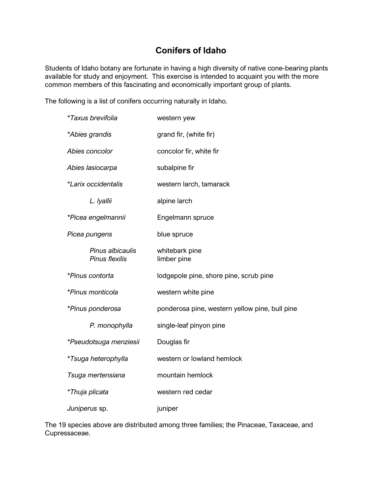## **Conifers of Idaho**

Students of Idaho botany are fortunate in having a high diversity of native cone-bearing plants available for study and enjoyment. This exercise is intended to acquaint you with the more common members of this fascinating and economically important group of plants.

The following is a list of conifers occurring naturally in Idaho.

| <i>*Taxus brevifolia</i>           | western yew                                    |
|------------------------------------|------------------------------------------------|
| *Abies grandis                     | grand fir, (white fir)                         |
| Abies concolor                     | concolor fir, white fir                        |
| Abies lasiocarpa                   | subalpine fir                                  |
| *Larix occidentalis                | western larch, tamarack                        |
| L. Iyallii                         | alpine larch                                   |
| *Picea engelmannii                 | Engelmann spruce                               |
| Picea pungens                      | blue spruce                                    |
| Pinus albicaulis<br>Pinus flexilis | whitebark pine<br>limber pine                  |
| *Pinus contorta                    | lodgepole pine, shore pine, scrub pine         |
| *Pinus monticola                   | western white pine                             |
| *Pinus ponderosa                   | ponderosa pine, western yellow pine, bull pine |
| P. monophylla                      | single-leaf pinyon pine                        |
| *Pseudotsuga menziesii             | Douglas fir                                    |
| *Tsuga heterophylla                | western or lowland hemlock                     |
| Tsuga mertensiana                  | mountain hemlock                               |
| *Thuja plicata                     | western red cedar                              |
| Juniperus sp.                      | juniper                                        |

The 19 species above are distributed among three families; the Pinaceae, Taxaceae, and Cupressaceae.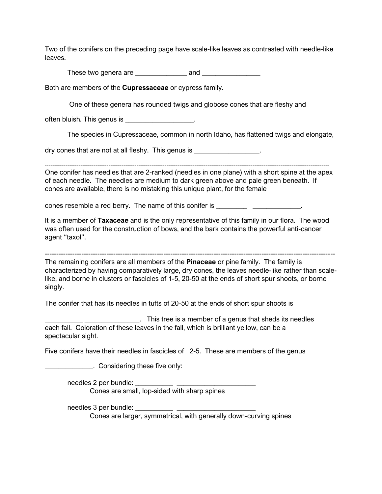Two of the conifers on the preceding page have scale-like leaves as contrasted with needle-like leaves.

These two genera are \_\_\_\_\_\_\_\_\_\_\_\_\_\_\_ and \_\_\_\_\_\_\_\_\_\_\_\_\_\_\_\_\_

Both are members of the **Cupressaceae** or cypress family.

One of these genera has rounded twigs and globose cones that are fleshy and

often bluish. This genus is **Example 20** is the contract of the set of the set of the set of the set of the set o

The species in Cupressaceae, common in north Idaho, has flattened twigs and elongate,

dry cones that are not at all fleshy. This genus is \_\_\_\_\_\_\_\_\_\_\_\_\_\_\_\_\_\_.

One conifer has needles that are 2-ranked (needles in one plane) with a short spine at the apex of each needle. The needles are medium to dark green above and pale green beneath. If

cones are available, there is no mistaking this unique plant, for the female

cones resemble a red berry. The name of this conifer is

It is a member of **Taxaceae** and is the only representative of this family in our flora. The wood was often used for the construction of bows, and the bark contains the powerful anti-cancer agent "taxol".

-------------------------------------------------------------------------------------------------------------------------------

The remaining conifers are all members of the **Pinaceae** or pine family. The family is characterized by having comparatively large, dry cones, the leaves needle-like rather than scalelike, and borne in clusters or fascicles of 1-5, 20-50 at the ends of short spur shoots, or borne singly.

The conifer that has its needles in tufts of 20-50 at the ends of short spur shoots is

\_\_\_\_\_\_\_\_\_\_\_ \_\_\_\_\_\_\_\_\_\_\_\_\_\_\_\_. This tree is a member of a genus that sheds its needles each fall. Coloration of these leaves in the fall, which is brilliant yellow, can be a spectacular sight.

Five conifers have their needles in fascicles of 2-5. These are members of the genus

**EXECUTE:** Considering these five only:

needles 2 per bundle:

Cones are small, lop-sided with sharp spines

needles 3 per bundle:

Cones are larger, symmetrical, with generally down-curving spines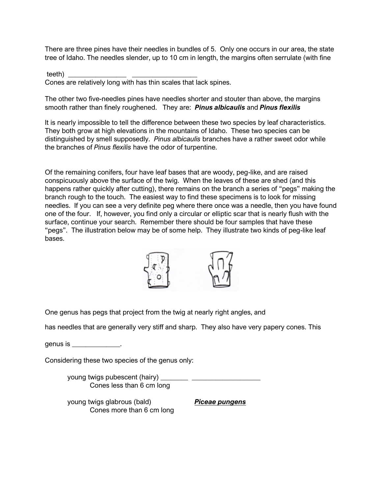There are three pines have their needles in bundles of 5. Only one occurs in our area, the state tree of Idaho. The needles slender, up to 10 cm in length, the margins often serrulate (with fine

teeth) \_\_\_\_\_\_\_\_\_\_\_\_\_\_\_\_\_ \_\_\_\_\_\_\_\_\_\_\_\_\_\_\_\_\_\_\_ Cones are relatively long with has thin scales that lack spines.

The other two five-needles pines have needles shorter and stouter than above, the margins smooth rather than finely roughened. They are: *Pinus albicaulis* and *Pinus flexilis*

It is nearly impossible to tell the difference between these two species by leaf characteristics. They both grow at high elevations in the mountains of Idaho. These two species can be distinguished by smell supposedly. *Pinus albicaulis* branches have a rather sweet odor while the branches of *Pinus flexilis* have the odor of turpentine.

Of the remaining conifers, four have leaf bases that are woody, peg-like, and are raised conspicuously above the surface of the twig. When the leaves of these are shed (and this happens rather quickly after cutting), there remains on the branch a series of "pegs" making the branch rough to the touch. The easiest way to find these specimens is to look for missing needles. If you can see a very definite peg where there once was a needle, then you have found one of the four. If, however, you find only a circular or elliptic scar that is nearly flush with the surface, continue your search. Remember there should be four samples that have these "pegs". The illustration below may be of some help. They illustrate two kinds of peg-like leaf bases.



One genus has pegs that project from the twig at nearly right angles, and

has needles that are generally very stiff and sharp. They also have very papery cones. This

genus is \_\_\_\_\_\_\_\_\_\_\_\_\_\_.

Considering these two species of the genus only:

young twigs pubescent (hairy) \_\_\_\_\_\_\_\_ \_\_\_\_\_\_\_\_\_\_\_\_\_\_\_\_\_\_\_\_ Cones less than 6 cm long

young twigs glabrous (bald) *Piceae pungens* Cones more than 6 cm long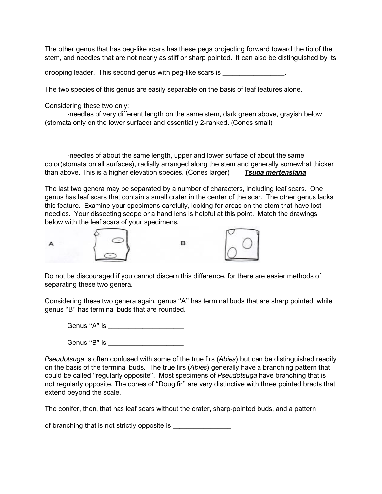The other genus that has peg-like scars has these pegs projecting forward toward the tip of the stem, and needles that are not nearly as stiff or sharp pointed. It can also be distinguished by its

drooping leader. This second genus with peg-like scars is  $\sim$ 

The two species of this genus are easily separable on the basis of leaf features alone.

Considering these two only:

-needles of very different length on the same stem, dark green above, grayish below (stomata only on the lower surface) and essentially 2-ranked. (Cones small)

-needles of about the same length, upper and lower surface of about the same color(stomata on all surfaces), radially arranged along the stem and generally somewhat thicker than above. This is a higher elevation species. (Cones larger) *Tsuga mertensiana*

\_\_\_\_\_\_\_\_\_\_\_\_ \_\_\_\_\_\_\_\_\_\_\_\_\_\_\_\_\_\_\_\_

The last two genera may be separated by a number of characters, including leaf scars. One genus has leaf scars that contain a small crater in the center of the scar. The other genus lacks this feature. Examine your specimens carefully, looking for areas on the stem that have lost needles. Your dissecting scope or a hand lens is helpful at this point. Match the drawings below with the leaf scars of your specimens.



Do not be discouraged if you cannot discern this difference, for there are easier methods of separating these two genera.

Considering these two genera again, genus "A" has terminal buds that are sharp pointed, while genus "B" has terminal buds that are rounded.

Genus "A" is \_\_\_\_\_\_\_\_\_\_\_\_\_\_\_\_\_\_\_\_\_\_

Genus "B" is \_\_\_\_\_\_\_\_\_\_\_\_\_\_\_\_\_\_\_\_\_\_

*Pseudotsuga* is often confused with some of the true firs (*Abies*) but can be distinguished readily on the basis of the terminal buds. The true firs (*Abies*) generally have a branching pattern that could be called "regularly opposite". Most specimens of *Pseudotsuga* have branching that is not regularly opposite. The cones of "Doug fir" are very distinctive with three pointed bracts that extend beyond the scale.

The conifer, then, that has leaf scars without the crater, sharp-pointed buds, and a pattern

of branching that is not strictly opposite is \_\_\_\_\_\_\_\_\_\_\_\_\_\_\_\_\_\_\_\_\_\_\_\_\_\_\_\_\_\_\_\_\_\_